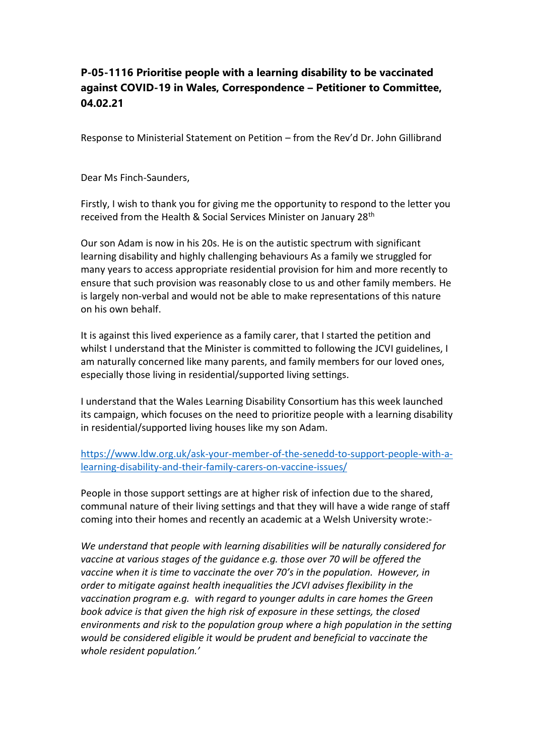## **P-05-1116 Prioritise people with a learning disability to be vaccinated against COVID-19 in Wales, Correspondence – Petitioner to Committee, 04.02.21**

Response to Ministerial Statement on Petition – from the Rev'd Dr. John Gillibrand

Dear Ms Finch-Saunders,

Firstly, I wish to thank you for giving me the opportunity to respond to the letter you received from the Health & Social Services Minister on January 28<sup>th</sup>

Our son Adam is now in his 20s. He is on the autistic spectrum with significant learning disability and highly challenging behaviours As a family we struggled for many years to access appropriate residential provision for him and more recently to ensure that such provision was reasonably close to us and other family members. He is largely non-verbal and would not be able to make representations of this nature on his own behalf.

It is against this lived experience as a family carer, that I started the petition and whilst I understand that the Minister is committed to following the JCVI guidelines, I am naturally concerned like many parents, and family members for our loved ones, especially those living in residential/supported living settings.

I understand that the Wales Learning Disability Consortium has this week launched its campaign, which focuses on the need to prioritize people with a learning disability in residential/supported living houses like my son Adam.

[https://www.ldw.org.uk/ask-your-member-of-the-senedd-to-support-people-with-a](about:blank)[learning-disability-and-their-family-carers-on-vaccine-issues/](about:blank)

People in those support settings are at higher risk of infection due to the shared, communal nature of their living settings and that they will have a wide range of staff coming into their homes and recently an academic at a Welsh University wrote:-

*We understand that people with learning disabilities will be naturally considered for vaccine at various stages of the guidance e.g. those over 70 will be offered the vaccine when it is time to vaccinate the over 70's in the population. However, in order to mitigate against health inequalities the JCVI advises flexibility in the vaccination program e.g. with regard to younger adults in care homes the Green book advice is that given the high risk of exposure in these settings, the closed environments and risk to the population group where a high population in the setting would be considered eligible it would be prudent and beneficial to vaccinate the whole resident population.'*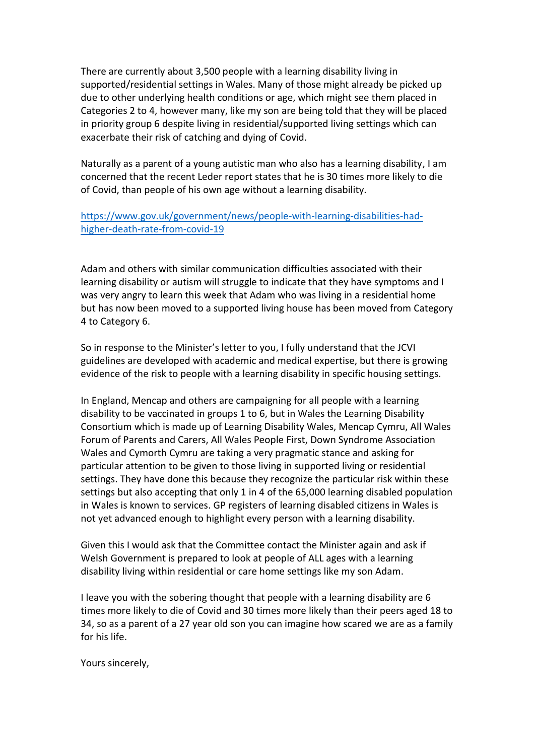There are currently about 3,500 people with a learning disability living in supported/residential settings in Wales. Many of those might already be picked up due to other underlying health conditions or age, which might see them placed in Categories 2 to 4, however many, like my son are being told that they will be placed in priority group 6 despite living in residential/supported living settings which can exacerbate their risk of catching and dying of Covid.

Naturally as a parent of a young autistic man who also has a learning disability, I am concerned that the recent Leder report states that he is 30 times more likely to die of Covid, than people of his own age without a learning disability.

## [https://www.gov.uk/government/news/people-with-learning-disabilities-had](about:blank)[higher-death-rate-from-covid-19](about:blank)

Adam and others with similar communication difficulties associated with their learning disability or autism will struggle to indicate that they have symptoms and I was very angry to learn this week that Adam who was living in a residential home but has now been moved to a supported living house has been moved from Category 4 to Category 6.

So in response to the Minister's letter to you, I fully understand that the JCVI guidelines are developed with academic and medical expertise, but there is growing evidence of the risk to people with a learning disability in specific housing settings.

In England, Mencap and others are campaigning for all people with a learning disability to be vaccinated in groups 1 to 6, but in Wales the Learning Disability Consortium which is made up of Learning Disability Wales, Mencap Cymru, All Wales Forum of Parents and Carers, All Wales People First, Down Syndrome Association Wales and Cymorth Cymru are taking a very pragmatic stance and asking for particular attention to be given to those living in supported living or residential settings. They have done this because they recognize the particular risk within these settings but also accepting that only 1 in 4 of the 65,000 learning disabled population in Wales is known to services. GP registers of learning disabled citizens in Wales is not yet advanced enough to highlight every person with a learning disability.

Given this I would ask that the Committee contact the Minister again and ask if Welsh Government is prepared to look at people of ALL ages with a learning disability living within residential or care home settings like my son Adam.

I leave you with the sobering thought that people with a learning disability are 6 times more likely to die of Covid and 30 times more likely than their peers aged 18 to 34, so as a parent of a 27 year old son you can imagine how scared we are as a family for his life.

Yours sincerely,